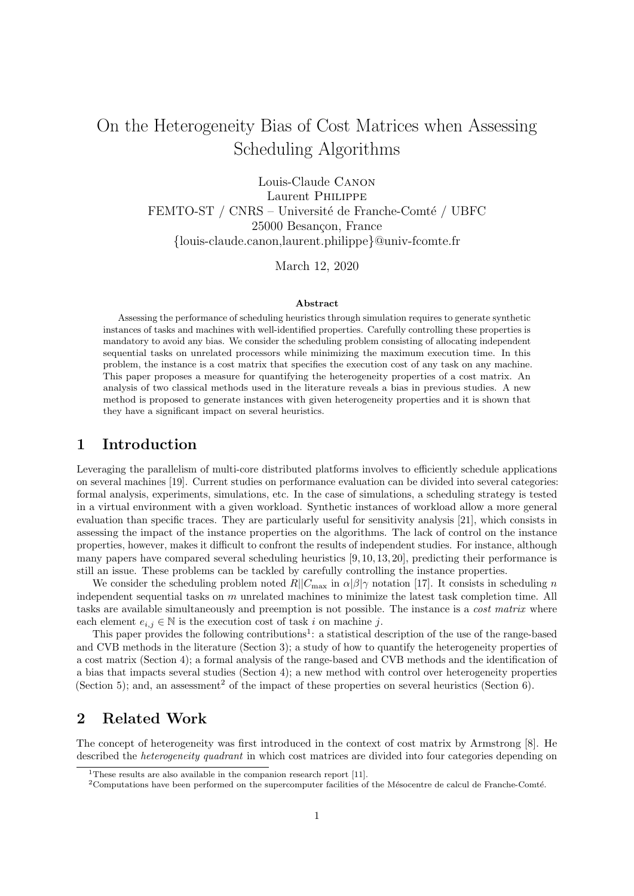# On the Heterogeneity Bias of Cost Matrices when Assessing Scheduling Algorithms

Louis-Claude Canon Laurent Philippe FEMTO-ST / CNRS – Université de Franche-Comté / UBFC 25000 Besançon, France {louis-claude.canon,laurent.philippe}@univ-fcomte.fr

March 12, 2020

#### Abstract

Assessing the performance of scheduling heuristics through simulation requires to generate synthetic instances of tasks and machines with well-identified properties. Carefully controlling these properties is mandatory to avoid any bias. We consider the scheduling problem consisting of allocating independent sequential tasks on unrelated processors while minimizing the maximum execution time. In this problem, the instance is a cost matrix that specifies the execution cost of any task on any machine. This paper proposes a measure for quantifying the heterogeneity properties of a cost matrix. An analysis of two classical methods used in the literature reveals a bias in previous studies. A new method is proposed to generate instances with given heterogeneity properties and it is shown that they have a significant impact on several heuristics.

# 1 Introduction

Leveraging the parallelism of multi-core distributed platforms involves to efficiently schedule applications on several machines [19]. Current studies on performance evaluation can be divided into several categories: formal analysis, experiments, simulations, etc. In the case of simulations, a scheduling strategy is tested in a virtual environment with a given workload. Synthetic instances of workload allow a more general evaluation than specific traces. They are particularly useful for sensitivity analysis [21], which consists in assessing the impact of the instance properties on the algorithms. The lack of control on the instance properties, however, makes it difficult to confront the results of independent studies. For instance, although many papers have compared several scheduling heuristics [9, 10, 13, 20], predicting their performance is still an issue. These problems can be tackled by carefully controlling the instance properties.

We consider the scheduling problem noted  $R||C_{\text{max}}$  in  $\alpha|\beta|\gamma$  notation [17]. It consists in scheduling n independent sequential tasks on  $m$  unrelated machines to minimize the latest task completion time. All tasks are available simultaneously and preemption is not possible. The instance is a *cost matrix* where each element  $e_{i,j} \in \mathbb{N}$  is the execution cost of task i on machine j.

This paper provides the following contributions<sup>1</sup>: a statistical description of the use of the range-based and CVB methods in the literature (Section 3); a study of how to quantify the heterogeneity properties of a cost matrix (Section 4); a formal analysis of the range-based and CVB methods and the identification of a bias that impacts several studies (Section 4); a new method with control over heterogeneity properties (Section 5); and, an assessment<sup>2</sup> of the impact of these properties on several heuristics (Section 6).

# 2 Related Work

The concept of heterogeneity was first introduced in the context of cost matrix by Armstrong [8]. He described the *heterogeneity quadrant* in which cost matrices are divided into four categories depending on

<sup>&</sup>lt;sup>1</sup>These results are also available in the companion research report [11].

 $2$ Computations have been performed on the supercomputer facilities of the Mésocentre de calcul de Franche-Comté.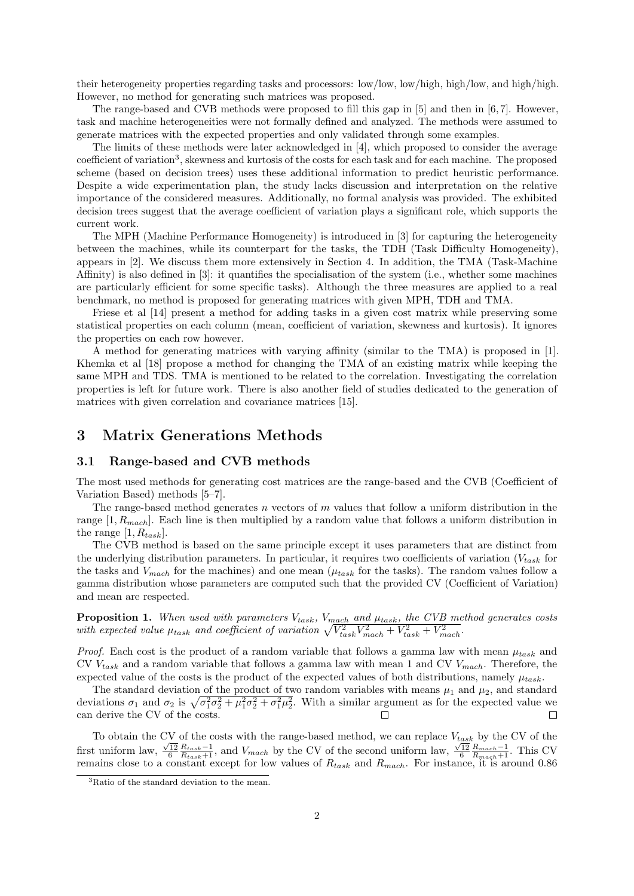their heterogeneity properties regarding tasks and processors: low/low, low/high, high/low, and high/high. However, no method for generating such matrices was proposed.

The range-based and CVB methods were proposed to fill this gap in [5] and then in [6, 7]. However, task and machine heterogeneities were not formally defined and analyzed. The methods were assumed to generate matrices with the expected properties and only validated through some examples.

The limits of these methods were later acknowledged in [4], which proposed to consider the average coefficient of variation<sup>3</sup>, skewness and kurtosis of the costs for each task and for each machine. The proposed scheme (based on decision trees) uses these additional information to predict heuristic performance. Despite a wide experimentation plan, the study lacks discussion and interpretation on the relative importance of the considered measures. Additionally, no formal analysis was provided. The exhibited decision trees suggest that the average coefficient of variation plays a significant role, which supports the current work.

The MPH (Machine Performance Homogeneity) is introduced in [3] for capturing the heterogeneity between the machines, while its counterpart for the tasks, the TDH (Task Difficulty Homogeneity), appears in [2]. We discuss them more extensively in Section 4. In addition, the TMA (Task-Machine Affinity) is also defined in [3]: it quantifies the specialisation of the system (i.e., whether some machines are particularly efficient for some specific tasks). Although the three measures are applied to a real benchmark, no method is proposed for generating matrices with given MPH, TDH and TMA.

Friese et al [14] present a method for adding tasks in a given cost matrix while preserving some statistical properties on each column (mean, coefficient of variation, skewness and kurtosis). It ignores the properties on each row however.

A method for generating matrices with varying affinity (similar to the TMA) is proposed in [1]. Khemka et al [18] propose a method for changing the TMA of an existing matrix while keeping the same MPH and TDS. TMA is mentioned to be related to the correlation. Investigating the correlation properties is left for future work. There is also another field of studies dedicated to the generation of matrices with given correlation and covariance matrices [15].

### 3 Matrix Generations Methods

#### 3.1 Range-based and CVB methods

The most used methods for generating cost matrices are the range-based and the CVB (Coefficient of Variation Based) methods [5–7].

The range-based method generates n vectors of m values that follow a uniform distribution in the range  $[1, R_{mach}]$ . Each line is then multiplied by a random value that follows a uniform distribution in the range  $[1, R_{task}].$ 

The CVB method is based on the same principle except it uses parameters that are distinct from the underlying distribution parameters. In particular, it requires two coefficients of variation  $(V_{task}$  for the tasks and  $V_{mach}$  for the machines) and one mean ( $\mu_{task}$  for the tasks). The random values follow a gamma distribution whose parameters are computed such that the provided CV (Coefficient of Variation) and mean are respected.

**Proposition 1.** When used with parameters  $V_{task}$ ,  $V_{mach}$  and  $\mu_{task}$ , the CVB method generates costs with expected value  $\mu_{task}$  and coefficient of variation  $\sqrt{V_{task}^2 V_{mach}^2 + V_{task}^2 + V_{mach}^2}$ .

*Proof.* Each cost is the product of a random variable that follows a gamma law with mean  $\mu_{task}$  and CV  $V_{task}$  and a random variable that follows a gamma law with mean 1 and CV  $V_{mach}$ . Therefore, the expected value of the costs is the product of the expected values of both distributions, namely  $\mu_{task}$ .

The standard deviation of the product of two random variables with means  $\mu_1$  and  $\mu_2$ , and standard deviations  $\sigma_1$  and  $\sigma_2$  is  $\sqrt{\sigma_1^2 \sigma_2^2 + \mu_1^2 \sigma_2^2 + \sigma_1^2 \mu_2^2}$ . With a similar argument as for the expected value we can derive the CV of the costs.  $\Box$ 

To obtain the CV of the costs with the range-based method, we can replace  $V_{task}$  by the CV of the First uniform law,  $\frac{\sqrt{12}}{6} \frac{R_{task}-1}{R_{task}+1}$ , and  $V_{mach}$  by the CV of the second uniform law,  $\frac{\sqrt{12}}{6} \frac{R_{mach}-1}{R_{mach}+1}$ . This CV remains close to a constant except for low values of  $R_{task}$  and  $R_{mach}$ . For instance, it is around 0.86

<sup>3</sup>Ratio of the standard deviation to the mean.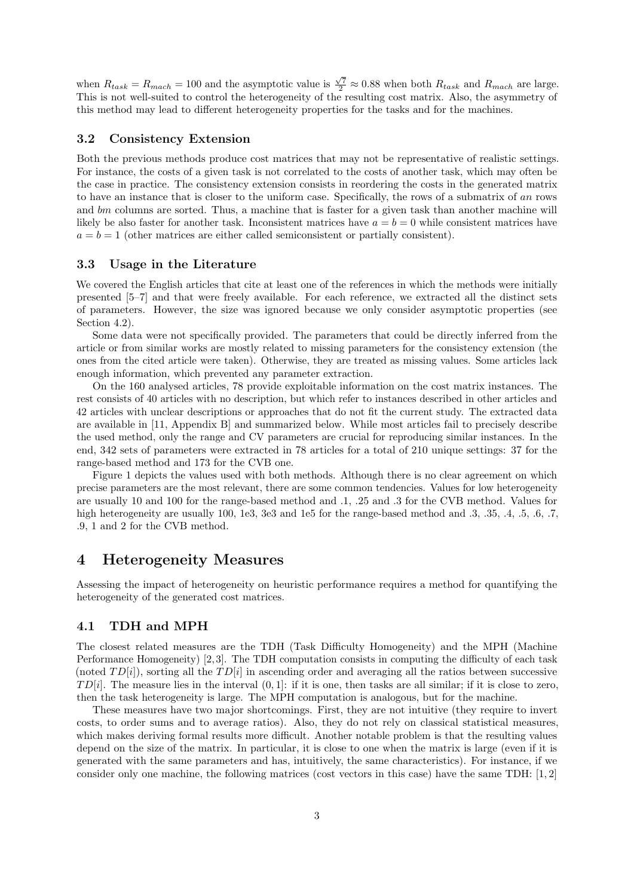when  $R_{task} = R_{mach} = 100$  and the asymptotic value is  $\frac{\sqrt{7}}{2} \approx 0.88$  when both  $R_{task}$  and  $R_{mach}$  are large. This is not well-suited to control the heterogeneity of the resulting cost matrix. Also, the asymmetry of this method may lead to different heterogeneity properties for the tasks and for the machines.

#### 3.2 Consistency Extension

Both the previous methods produce cost matrices that may not be representative of realistic settings. For instance, the costs of a given task is not correlated to the costs of another task, which may often be the case in practice. The consistency extension consists in reordering the costs in the generated matrix to have an instance that is closer to the uniform case. Specifically, the rows of a submatrix of an rows and bm columns are sorted. Thus, a machine that is faster for a given task than another machine will likely be also faster for another task. Inconsistent matrices have  $a = b = 0$  while consistent matrices have  $a = b = 1$  (other matrices are either called semiconsistent or partially consistent).

#### 3.3 Usage in the Literature

We covered the English articles that cite at least one of the references in which the methods were initially presented [5–7] and that were freely available. For each reference, we extracted all the distinct sets of parameters. However, the size was ignored because we only consider asymptotic properties (see Section 4.2).

Some data were not specifically provided. The parameters that could be directly inferred from the article or from similar works are mostly related to missing parameters for the consistency extension (the ones from the cited article were taken). Otherwise, they are treated as missing values. Some articles lack enough information, which prevented any parameter extraction.

On the 160 analysed articles, 78 provide exploitable information on the cost matrix instances. The rest consists of 40 articles with no description, but which refer to instances described in other articles and 42 articles with unclear descriptions or approaches that do not fit the current study. The extracted data are available in [11, Appendix B] and summarized below. While most articles fail to precisely describe the used method, only the range and CV parameters are crucial for reproducing similar instances. In the end, 342 sets of parameters were extracted in 78 articles for a total of 210 unique settings: 37 for the range-based method and 173 for the CVB one.

Figure 1 depicts the values used with both methods. Although there is no clear agreement on which precise parameters are the most relevant, there are some common tendencies. Values for low heterogeneity are usually 10 and 100 for the range-based method and .1, .25 and .3 for the CVB method. Values for high heterogeneity are usually 100, 1e3, 3e3 and 1e5 for the range-based method and  $.3, .35, .4, .5, .6, .7,$ .9, 1 and 2 for the CVB method.

# 4 Heterogeneity Measures

Assessing the impact of heterogeneity on heuristic performance requires a method for quantifying the heterogeneity of the generated cost matrices.

#### 4.1 TDH and MPH

The closest related measures are the TDH (Task Difficulty Homogeneity) and the MPH (Machine Performance Homogeneity) [2, 3]. The TDH computation consists in computing the difficulty of each task (noted  $TD[i]$ ), sorting all the  $TD[i]$  in ascending order and averaging all the ratios between successive  $TD[i]$ . The measure lies in the interval  $(0, 1]$ : if it is one, then tasks are all similar; if it is close to zero, then the task heterogeneity is large. The MPH computation is analogous, but for the machine.

These measures have two major shortcomings. First, they are not intuitive (they require to invert costs, to order sums and to average ratios). Also, they do not rely on classical statistical measures, which makes deriving formal results more difficult. Another notable problem is that the resulting values depend on the size of the matrix. In particular, it is close to one when the matrix is large (even if it is generated with the same parameters and has, intuitively, the same characteristics). For instance, if we consider only one machine, the following matrices (cost vectors in this case) have the same TDH: [1, 2]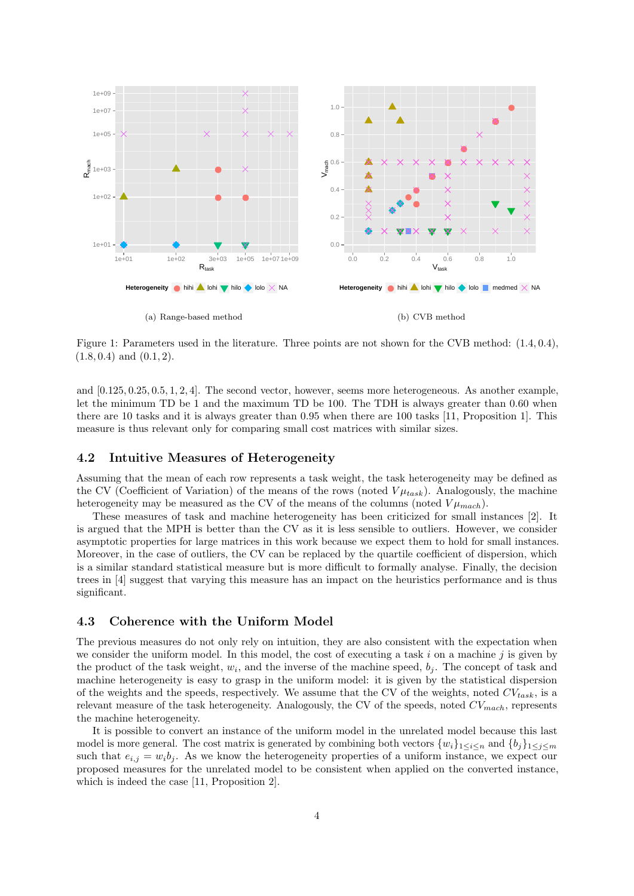

Figure 1: Parameters used in the literature. Three points are not shown for the CVB method: (1.4, 0.4),  $(1.8, 0.4)$  and  $(0.1, 2)$ .

and [0.125, 0.25, 0.5, 1, 2, 4]. The second vector, however, seems more heterogeneous. As another example, let the minimum TD be 1 and the maximum TD be 100. The TDH is always greater than 0.60 when there are 10 tasks and it is always greater than 0.95 when there are 100 tasks [11, Proposition 1]. This measure is thus relevant only for comparing small cost matrices with similar sizes.

#### 4.2 Intuitive Measures of Heterogeneity

Assuming that the mean of each row represents a task weight, the task heterogeneity may be defined as the CV (Coefficient of Variation) of the means of the rows (noted  $V\mu_{task}$ ). Analogously, the machine heterogeneity may be measured as the CV of the means of the columns (noted  $V \mu_{mach}$ ).

These measures of task and machine heterogeneity has been criticized for small instances [2]. It is argued that the MPH is better than the CV as it is less sensible to outliers. However, we consider asymptotic properties for large matrices in this work because we expect them to hold for small instances. Moreover, in the case of outliers, the CV can be replaced by the quartile coefficient of dispersion, which is a similar standard statistical measure but is more difficult to formally analyse. Finally, the decision trees in [4] suggest that varying this measure has an impact on the heuristics performance and is thus significant.

#### 4.3 Coherence with the Uniform Model

The previous measures do not only rely on intuition, they are also consistent with the expectation when we consider the uniform model. In this model, the cost of executing a task  $i$  on a machine  $j$  is given by the product of the task weight,  $w_i$ , and the inverse of the machine speed,  $b_j$ . The concept of task and machine heterogeneity is easy to grasp in the uniform model: it is given by the statistical dispersion of the weights and the speeds, respectively. We assume that the CV of the weights, noted  $CV_{task}$ , is a relevant measure of the task heterogeneity. Analogously, the CV of the speeds, noted  $CV_{mach}$ , represents the machine heterogeneity.

It is possible to convert an instance of the uniform model in the unrelated model because this last model is more general. The cost matrix is generated by combining both vectors  $\{w_i\}_{1\leq i\leq n}$  and  $\{b_i\}_{1\leq i\leq m}$ such that  $e_{i,j} = w_i b_j$ . As we know the heterogeneity properties of a uniform instance, we expect our proposed measures for the unrelated model to be consistent when applied on the converted instance, which is indeed the case [11, Proposition 2].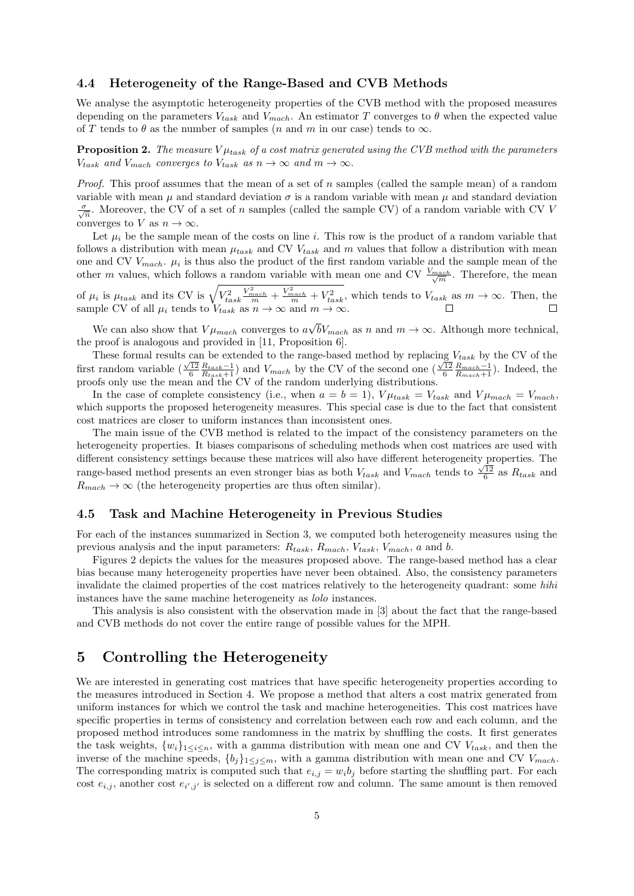#### 4.4 Heterogeneity of the Range-Based and CVB Methods

We analyse the asymptotic heterogeneity properties of the CVB method with the proposed measures depending on the parameters  $V_{task}$  and  $V_{mach}$ . An estimator T converges to  $\theta$  when the expected value of T tends to  $\theta$  as the number of samples (n and m in our case) tends to  $\infty$ .

**Proposition 2.** The measure  $V \mu_{task}$  of a cost matrix generated using the CVB method with the parameters  $V_{task}$  and  $V_{mach}$  converges to  $V_{task}$  as  $n \to \infty$  and  $m \to \infty$ .

*Proof.* This proof assumes that the mean of a set of n samples (called the sample mean) of a random variable with mean  $\mu$  and standard deviation  $\sigma$  is a random variable with mean  $\mu$  and standard deviation  $\frac{\sigma}{\sqrt{n}}$ . Moreover, the CV of a set of *n* samples (called the sample CV) of a random variable with CV V converges to V as  $n \to \infty$ .

Let  $\mu_i$  be the sample mean of the costs on line i. This row is the product of a random variable that follows a distribution with mean  $\mu_{task}$  and CV  $V_{task}$  and m values that follow a distribution with mean one and CV  $V_{mach}$ .  $\mu_i$  is thus also the product of the first random variable and the sample mean of the other m values, which follows a random variable with mean one and CV  $\frac{V_{mach}}{\sqrt{m}}$ . Therefore, the mean

of  $\mu_i$  is  $\mu_{task}$  and its CV is  $\sqrt{V_{task}^2}$  $\frac{V_{mach}^2}{m} + \frac{V_{mach}^2}{m} + V_{task}^2$ , which tends to  $V_{task}$  as  $m \to \infty$ . Then, the sample CV of all  $\mu_i$  tends to  $V_{task}$  as  $n \to \infty$  and  $m \to \infty$ .

We can also show that  $V\mu_{mach}$  converges to a √  $bV_{mach}$  as n and  $m \to \infty$ . Although more technical, the proof is analogous and provided in [11, Proposition 6].

These formal results can be extended to the range-based method by replacing  $V_{task}$  by the CV of the first random variable  $\left(\frac{\sqrt{12} R_{task-1}}{6 R_{task+1}}\right)$  and  $V_{mach}$  by the CV of the second one  $\left(\frac{\sqrt{12} R_{mach-1}}{6 R_{mach+1}}\right)$ . Indeed, the proofs only use the mean and the CV of the random underlying distributions.

In the case of complete consistency (i.e., when  $a = b = 1$ ),  $V \mu_{task} = V_{task}$  and  $V \mu_{mach} = V_{mach}$ which supports the proposed heterogeneity measures. This special case is due to the fact that consistent cost matrices are closer to uniform instances than inconsistent ones.

The main issue of the CVB method is related to the impact of the consistency parameters on the heterogeneity properties. It biases comparisons of scheduling methods when cost matrices are used with different consistency settings because these matrices will also have different heterogeneity properties. The range-based method presents an even stronger bias as both  $V_{task}$  and  $V_{mach}$  tends to  $\frac{\sqrt{12}}{6}$  as  $R_{task}$  and  $R_{mach} \rightarrow \infty$  (the heterogeneity properties are thus often similar).

#### 4.5 Task and Machine Heterogeneity in Previous Studies

For each of the instances summarized in Section 3, we computed both heterogeneity measures using the previous analysis and the input parameters:  $R_{task}, R_{mach}, V_{task}, V_{mach}, a$  and b.

Figures 2 depicts the values for the measures proposed above. The range-based method has a clear bias because many heterogeneity properties have never been obtained. Also, the consistency parameters invalidate the claimed properties of the cost matrices relatively to the heterogeneity quadrant: some hihi instances have the same machine heterogeneity as lolo instances.

This analysis is also consistent with the observation made in [3] about the fact that the range-based and CVB methods do not cover the entire range of possible values for the MPH.

# 5 Controlling the Heterogeneity

We are interested in generating cost matrices that have specific heterogeneity properties according to the measures introduced in Section 4. We propose a method that alters a cost matrix generated from uniform instances for which we control the task and machine heterogeneities. This cost matrices have specific properties in terms of consistency and correlation between each row and each column, and the proposed method introduces some randomness in the matrix by shuffling the costs. It first generates the task weights,  $\{w_i\}_{1\leq i\leq n}$ , with a gamma distribution with mean one and CV  $V_{task}$ , and then the inverse of the machine speeds,  ${b_j}_{1 \leq j \leq m}$ , with a gamma distribution with mean one and CV  $V_{mach}$ . The corresponding matrix is computed such that  $e_{i,j} = w_i b_j$  before starting the shuffling part. For each cost  $e_{i,j}$ , another cost  $e_{i',j'}$  is selected on a different row and column. The same amount is then removed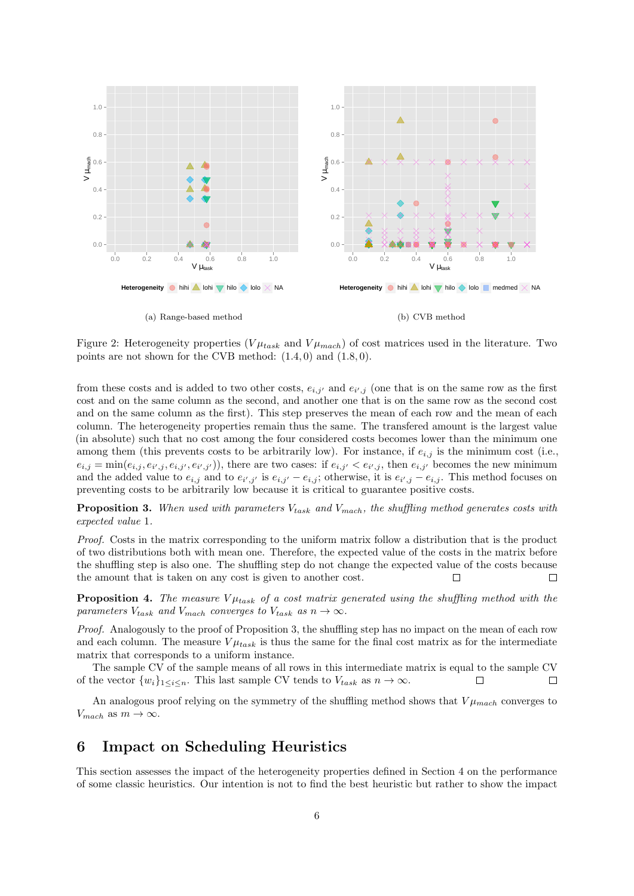

Figure 2: Heterogeneity properties ( $V\mu_{task}$  and  $V\mu_{mach}$ ) of cost matrices used in the literature. Two points are not shown for the CVB method: (1.4, 0) and (1.8, 0).

from these costs and is added to two other costs,  $e_{i,j'}$  and  $e_{i',j}$  (one that is on the same row as the first cost and on the same column as the second, and another one that is on the same row as the second cost and on the same column as the first). This step preserves the mean of each row and the mean of each column. The heterogeneity properties remain thus the same. The transfered amount is the largest value (in absolute) such that no cost among the four considered costs becomes lower than the minimum one among them (this prevents costs to be arbitrarily low). For instance, if  $e_{i,j}$  is the minimum cost (i.e.,  $e_{i,j} = \min(e_{i,j}, e_{i',j}, e_{i',j'}, e_{i',j'})$ , there are two cases: if  $e_{i,j'} < e_{i',j}$ , then  $e_{i,j'}$  becomes the new minimum and the added value to  $e_{i,j}$  and to  $e_{i',j'}$  is  $e_{i,j'} - e_{i,j}$ ; otherwise, it is  $e_{i',j} - e_{i,j}$ . This method focuses on preventing costs to be arbitrarily low because it is critical to guarantee positive costs.

**Proposition 3.** When used with parameters  $V_{task}$  and  $V_{mach}$ , the shuffling method generates costs with expected value 1.

Proof. Costs in the matrix corresponding to the uniform matrix follow a distribution that is the product of two distributions both with mean one. Therefore, the expected value of the costs in the matrix before the shuffling step is also one. The shuffling step do not change the expected value of the costs because the amount that is taken on any cost is given to another cost.  $\Box$ 

**Proposition 4.** The measure  $V \mu_{task}$  of a cost matrix generated using the shuffling method with the parameters  $V_{task}$  and  $V_{mach}$  converges to  $V_{task}$  as  $n \to \infty$ .

Proof. Analogously to the proof of Proposition 3, the shuffling step has no impact on the mean of each row and each column. The measure  $V\mu_{task}$  is thus the same for the final cost matrix as for the intermediate matrix that corresponds to a uniform instance.

The sample CV of the sample means of all rows in this intermediate matrix is equal to the sample CV of the vector  $\{w_i\}_{1 \leq i \leq n}$ . This last sample CV tends to  $V_{task}$  as  $n \to \infty$ . П

An analogous proof relying on the symmetry of the shuffling method shows that  $V\mu_{mach}$  converges to  $V_{mach}$  as  $m \to \infty$ .

# 6 Impact on Scheduling Heuristics

This section assesses the impact of the heterogeneity properties defined in Section 4 on the performance of some classic heuristics. Our intention is not to find the best heuristic but rather to show the impact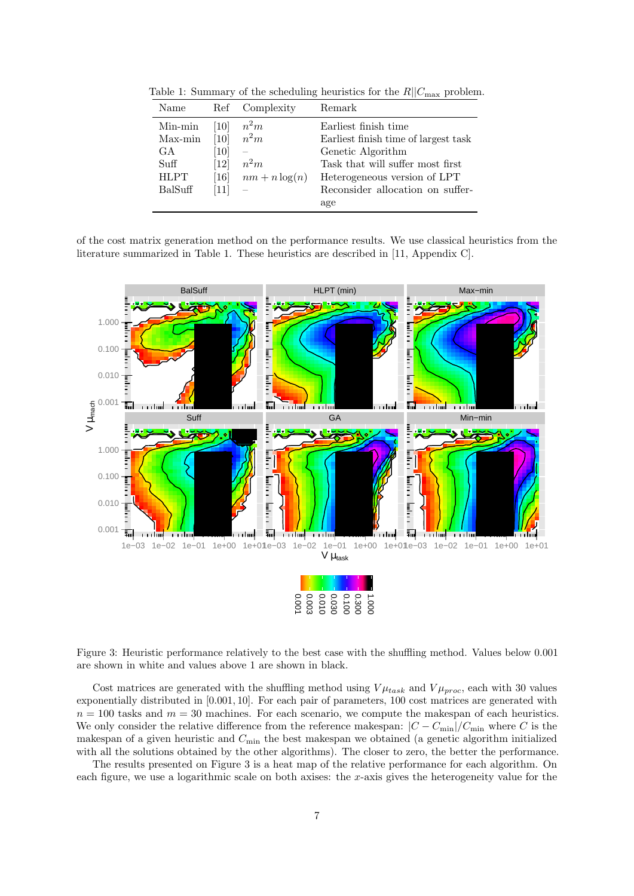| Name        | Ref               | Complexity       | Remark                               |
|-------------|-------------------|------------------|--------------------------------------|
| Min-min     | [10]              | $n^2m$           | Earliest finish time                 |
| $Max-min$   | $\left[10\right]$ | $n^2m$           | Earliest finish time of largest task |
| GА          | 10                |                  | Genetic Algorithm                    |
| Suff        | $\left[12\right]$ | $n^2m$           | Task that will suffer most first     |
| <b>HLPT</b> | $[16]$            | $nm + n \log(n)$ | Heterogeneous version of LPT         |
| BalSuff     | [11]              |                  | Reconsider allocation on suffer-     |
|             |                   |                  | age                                  |

Table 1: Summary of the scheduling heuristics for the  $R||C_{\text{max}}$  problem.

of the cost matrix generation method on the performance results. We use classical heuristics from the literature summarized in Table 1. These heuristics are described in [11, Appendix C].



Figure 3: Heuristic performance relatively to the best case with the shuffling method. Values below 0.001 are shown in white and values above 1 are shown in black.

Cost matrices are generated with the shuffling method using  $V\mu_{task}$  and  $V\mu_{proc}$ , each with 30 values exponentially distributed in [0.001, 10]. For each pair of parameters, 100 cost matrices are generated with  $n = 100$  tasks and  $m = 30$  machines. For each scenario, we compute the makespan of each heuristics. We only consider the relative difference from the reference makespan:  $|C - C_{\text{min}}|/C_{\text{min}}$  where C is the makespan of a given heuristic and  $C_{\text{min}}$  the best makespan we obtained (a genetic algorithm initialized with all the solutions obtained by the other algorithms). The closer to zero, the better the performance.

The results presented on Figure 3 is a heat map of the relative performance for each algorithm. On each figure, we use a logarithmic scale on both axises: the x-axis gives the heterogeneity value for the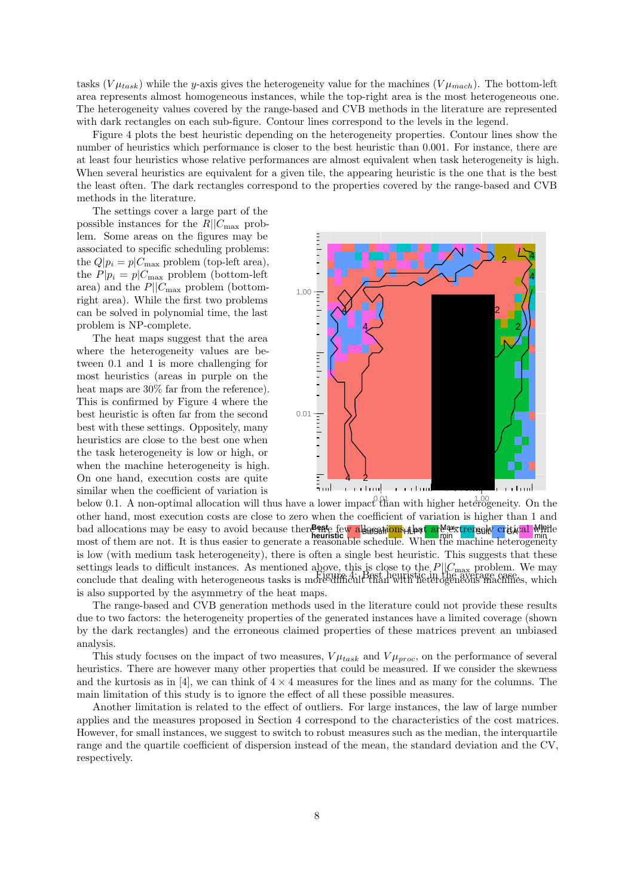tasks  $(V \mu_{task})$  while the y-axis gives the heterogeneity value for the machines  $(V \mu_{mach})$ . The bottom-left area represents almost homogeneous instances, while the top-right area is the most heterogeneous one. The heterogeneity values covered by the range-based and CVB methods in the literature are represented with dark rectangles on each sub-figure. Contour lines correspond to the levels in the legend.

Figure 4 plots the best heuristic depending on the heterogeneity properties. Contour lines show the number of heuristics which performance is closer to the best heuristic than 0.001. For instance, there are at least four heuristics whose relative performances are almost equivalent when task heterogeneity is high. When several heuristics are equivalent for a given tile, the appearing heuristic is the one that is the best the least often. The dark rectangles correspond to the properties covered by the range-based and CVB methods in the literature.

The settings cover a large part of the possible instances for the  $R||C_{\text{max}}$  problem. Some areas on the figures may be associated to specific scheduling problems: the  $Q|p_i = p|C_{\text{max}}$  problem (top-left area), the  $P|p_i = p|C_{\text{max}}$  problem (bottom-left area) and the  $P||C_{\text{max}}$  problem (bottomright area). While the first two problems can be solved in polynomial time, the last problem is NP-complete.

The heat maps suggest that the area where the heterogeneity values are between 0.1 and 1 is more challenging for most heuristics (areas in purple on the heat maps are 30% far from the reference). This is confirmed by Figure 4 where the best heuristic is often far from the second best with these settings. Oppositely, many heuristics are close to the best one when the task heterogeneity is low or high, or when the machine heterogeneity is high. On one hand, execution costs are quite similar when the coefficient of variation is



below 0.1. A non-optimal allocation will thus have a lower impact than with higher heterogeneity. On the bad allocations may be easy to avoid because ther**®est**e few allocations <sub>the min</sub> are extremedy critical while settings leads to difficult instances. As mentioned above, this is close to the  $P||C_{\text{max}}$  problem. We may<br>conclude that dealing with hotocompoons to be in marging 4: Best heuristic in the average case. other hand, most execution costs are close to zero when the coefficient of variation is higher than 1 and most of them are not. It is thus easier to generate a reasonable schedule. When the machine heterogeneity is low (with medium task heterogeneity), there is often a single best heuristic. This suggests that these conclude that dealing with heterogeneous tasks is more difficult than with heterogeneous machines, which is also supported by the asymmetry of the heat maps.

The range-based and CVB generation methods used in the literature could not provide these results due to two factors: the heterogeneity properties of the generated instances have a limited coverage (shown by the dark rectangles) and the erroneous claimed properties of these matrices prevent an unbiased analysis.

This study focuses on the impact of two measures,  $V\mu_{task}$  and  $V\mu_{proc}$ , on the performance of several heuristics. There are however many other properties that could be measured. If we consider the skewness and the kurtosis as in [4], we can think of  $4 \times 4$  measures for the lines and as many for the columns. The main limitation of this study is to ignore the effect of all these possible measures.

Another limitation is related to the effect of outliers. For large instances, the law of large number applies and the measures proposed in Section 4 correspond to the characteristics of the cost matrices. However, for small instances, we suggest to switch to robust measures such as the median, the interquartile range and the quartile coefficient of dispersion instead of the mean, the standard deviation and the CV, respectively.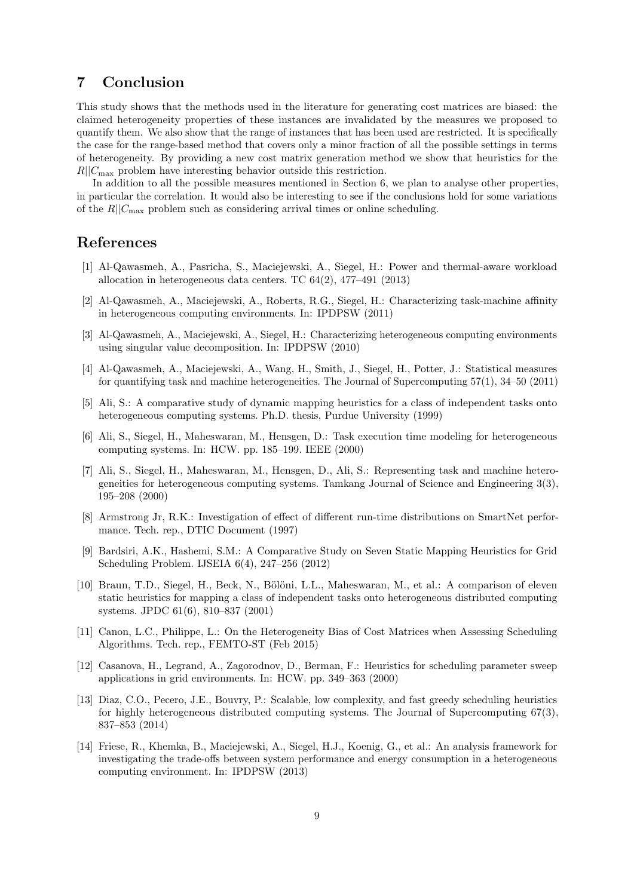# 7 Conclusion

This study shows that the methods used in the literature for generating cost matrices are biased: the claimed heterogeneity properties of these instances are invalidated by the measures we proposed to quantify them. We also show that the range of instances that has been used are restricted. It is specifically the case for the range-based method that covers only a minor fraction of all the possible settings in terms of heterogeneity. By providing a new cost matrix generation method we show that heuristics for the  $R||C_{\text{max}}$  problem have interesting behavior outside this restriction.

In addition to all the possible measures mentioned in Section 6, we plan to analyse other properties, in particular the correlation. It would also be interesting to see if the conclusions hold for some variations of the  $R||C_{\text{max}}$  problem such as considering arrival times or online scheduling.

### References

- [1] Al-Qawasmeh, A., Pasricha, S., Maciejewski, A., Siegel, H.: Power and thermal-aware workload allocation in heterogeneous data centers. TC 64(2), 477–491 (2013)
- [2] Al-Qawasmeh, A., Maciejewski, A., Roberts, R.G., Siegel, H.: Characterizing task-machine affinity in heterogeneous computing environments. In: IPDPSW (2011)
- [3] Al-Qawasmeh, A., Maciejewski, A., Siegel, H.: Characterizing heterogeneous computing environments using singular value decomposition. In: IPDPSW (2010)
- [4] Al-Qawasmeh, A., Maciejewski, A., Wang, H., Smith, J., Siegel, H., Potter, J.: Statistical measures for quantifying task and machine heterogeneities. The Journal of Supercomputing 57(1), 34–50 (2011)
- [5] Ali, S.: A comparative study of dynamic mapping heuristics for a class of independent tasks onto heterogeneous computing systems. Ph.D. thesis, Purdue University (1999)
- [6] Ali, S., Siegel, H., Maheswaran, M., Hensgen, D.: Task execution time modeling for heterogeneous computing systems. In: HCW. pp. 185–199. IEEE (2000)
- [7] Ali, S., Siegel, H., Maheswaran, M., Hensgen, D., Ali, S.: Representing task and machine heterogeneities for heterogeneous computing systems. Tamkang Journal of Science and Engineering 3(3), 195–208 (2000)
- [8] Armstrong Jr, R.K.: Investigation of effect of different run-time distributions on SmartNet performance. Tech. rep., DTIC Document (1997)
- [9] Bardsiri, A.K., Hashemi, S.M.: A Comparative Study on Seven Static Mapping Heuristics for Grid Scheduling Problem. IJSEIA 6(4), 247–256 (2012)
- [10] Braun, T.D., Siegel, H., Beck, N., Bölöni, L.L., Maheswaran, M., et al.: A comparison of eleven static heuristics for mapping a class of independent tasks onto heterogeneous distributed computing systems. JPDC 61(6), 810–837 (2001)
- [11] Canon, L.C., Philippe, L.: On the Heterogeneity Bias of Cost Matrices when Assessing Scheduling Algorithms. Tech. rep., FEMTO-ST (Feb 2015)
- [12] Casanova, H., Legrand, A., Zagorodnov, D., Berman, F.: Heuristics for scheduling parameter sweep applications in grid environments. In: HCW. pp. 349–363 (2000)
- [13] Diaz, C.O., Pecero, J.E., Bouvry, P.: Scalable, low complexity, and fast greedy scheduling heuristics for highly heterogeneous distributed computing systems. The Journal of Supercomputing 67(3), 837–853 (2014)
- [14] Friese, R., Khemka, B., Maciejewski, A., Siegel, H.J., Koenig, G., et al.: An analysis framework for investigating the trade-offs between system performance and energy consumption in a heterogeneous computing environment. In: IPDPSW (2013)